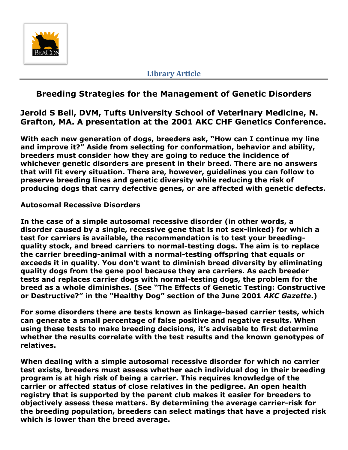

# **Breeding Strategies for the Management of Genetic Disorders**

# **Jerold S Bell, DVM, Tufts University School of Veterinary Medicine, N. Grafton, MA. A presentation at the 2001 AKC CHF Genetics Conference.**

**With each new generation of dogs, breeders ask, "How can I continue my line and improve it?" Aside from selecting for conformation, behavior and ability, breeders must consider how they are going to reduce the incidence of whichever genetic disorders are present in their breed. There are no answers that will fit every situation. There are, however, guidelines you can follow to preserve breeding lines and genetic diversity while reducing the risk of producing dogs that carry defective genes, or are affected with genetic defects.** 

# **Autosomal Recessive Disorders**

**In the case of a simple autosomal recessive disorder (in other words, a disorder caused by a single, recessive gene that is not sex-linked) for which a test for carriers is available, the recommendation is to test your breedingquality stock, and breed carriers to normal-testing dogs. The aim is to replace the carrier breeding-animal with a normal-testing offspring that equals or exceeds it in quality. You don't want to diminish breed diversity by eliminating quality dogs from the gene pool because they are carriers. As each breeder tests and replaces carrier dogs with normal-testing dogs, the problem for the breed as a whole diminishes. (See "The Effects of Genetic Testing: Constructive or Destructive?" in the "Healthy Dog" section of the June 2001** *AKC Gazette***.)** 

**For some disorders there are tests known as linkage-based carrier tests, which can generate a small percentage of false positive and negative results. When using these tests to make breeding decisions, it's advisable to first determine whether the results correlate with the test results and the known genotypes of relatives.** 

**When dealing with a simple autosomal recessive disorder for which no carrier test exists, breeders must assess whether each individual dog in their breeding program is at high risk of being a carrier. This requires knowledge of the carrier or affected status of close relatives in the pedigree. An open health registry that is supported by the parent club makes it easier for breeders to objectively assess these matters. By determining the average carrier-risk for the breeding population, breeders can select matings that have a projected risk which is lower than the breed average.**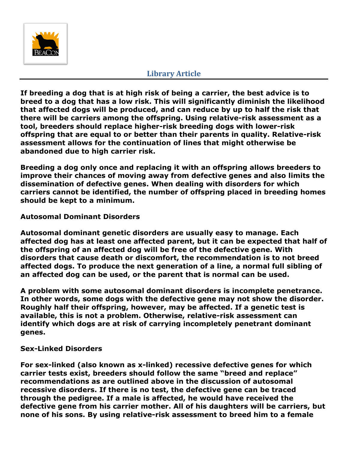

## **Library Article**

**If breeding a dog that is at high risk of being a carrier, the best advice is to breed to a dog that has a low risk. This will significantly diminish the likelihood that affected dogs will be produced, and can reduce by up to half the risk that there will be carriers among the offspring. Using relative-risk assessment as a tool, breeders should replace higher-risk breeding dogs with lower-risk offspring that are equal to or better than their parents in quality. Relative-risk assessment allows for the continuation of lines that might otherwise be abandoned due to high carrier risk.** 

**Breeding a dog only once and replacing it with an offspring allows breeders to improve their chances of moving away from defective genes and also limits the dissemination of defective genes. When dealing with disorders for which carriers cannot be identified, the number of offspring placed in breeding homes should be kept to a minimum.** 

#### **Autosomal Dominant Disorders**

**Autosomal dominant genetic disorders are usually easy to manage. Each affected dog has at least one affected parent, but it can be expected that half of the offspring of an affected dog will be free of the defective gene. With disorders that cause death or discomfort, the recommendation is to not breed affected dogs. To produce the next generation of a line, a normal full sibling of an affected dog can be used, or the parent that is normal can be used.** 

**A problem with some autosomal dominant disorders is incomplete penetrance. In other words, some dogs with the defective gene may not show the disorder. Roughly half their offspring, however, may be affected. If a genetic test is available, this is not a problem. Otherwise, relative-risk assessment can identify which dogs are at risk of carrying incompletely penetrant dominant genes.** 

### **Sex-Linked Disorders**

**For sex-linked (also known as x-linked) recessive defective genes for which carrier tests exist, breeders should follow the same "breed and replace" recommendations as are outlined above in the discussion of autosomal recessive disorders. If there is no test, the defective gene can be traced through the pedigree. If a male is affected, he would have received the defective gene from his carrier mother. All of his daughters will be carriers, but none of his sons. By using relative-risk assessment to breed him to a female**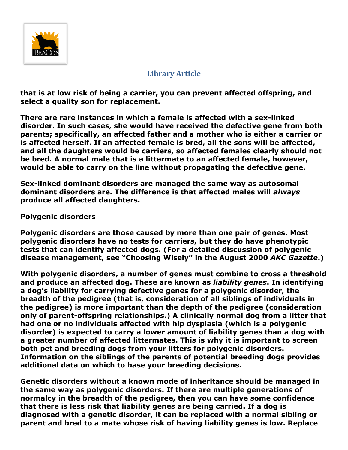

**that is at low risk of being a carrier, you can prevent affected offspring, and select a quality son for replacement.** 

**There are rare instances in which a female is affected with a sex-linked disorder. In such cases, she would have received the defective gene from both parents; specifically, an affected father and a mother who is either a carrier or is affected herself. If an affected female is bred, all the sons will be affected, and all the daughters would be carriers, so affected females clearly should not be bred. A normal male that is a littermate to an affected female, however, would be able to carry on the line without propagating the defective gene.** 

**Sex-linked dominant disorders are managed the same way as autosomal dominant disorders are. The difference is that affected males will** *always* **produce all affected daughters.** 

# **Polygenic disorders**

**Polygenic disorders are those caused by more than one pair of genes. Most polygenic disorders have no tests for carriers, but they do have phenotypic tests that can identify affected dogs. (For a detailed discussion of polygenic disease management, see "Choosing Wisely" in the August 2000** *AKC Gazette***.)** 

**With polygenic disorders, a number of genes must combine to cross a threshold and produce an affected dog. These are known as** *liability genes***. In identifying a dog's liability for carrying defective genes for a polygenic disorder, the breadth of the pedigree (that is, consideration of all siblings of individuals in the pedigree) is more important than the depth of the pedigree (consideration only of parent-offspring relationships.) A clinically normal dog from a litter that had one or no individuals affected with hip dysplasia (which is a polygenic disorder) is expected to carry a lower amount of liability genes than a dog with a greater number of affected littermates. This is why it is important to screen both pet and breeding dogs from your litters for polygenic disorders. Information on the siblings of the parents of potential breeding dogs provides additional data on which to base your breeding decisions.** 

**Genetic disorders without a known mode of inheritance should be managed in the same way as polygenic disorders. If there are multiple generations of normalcy in the breadth of the pedigree, then you can have some confidence that there is less risk that liability genes are being carried. If a dog is diagnosed with a genetic disorder, it can be replaced with a normal sibling or parent and bred to a mate whose risk of having liability genes is low. Replace**